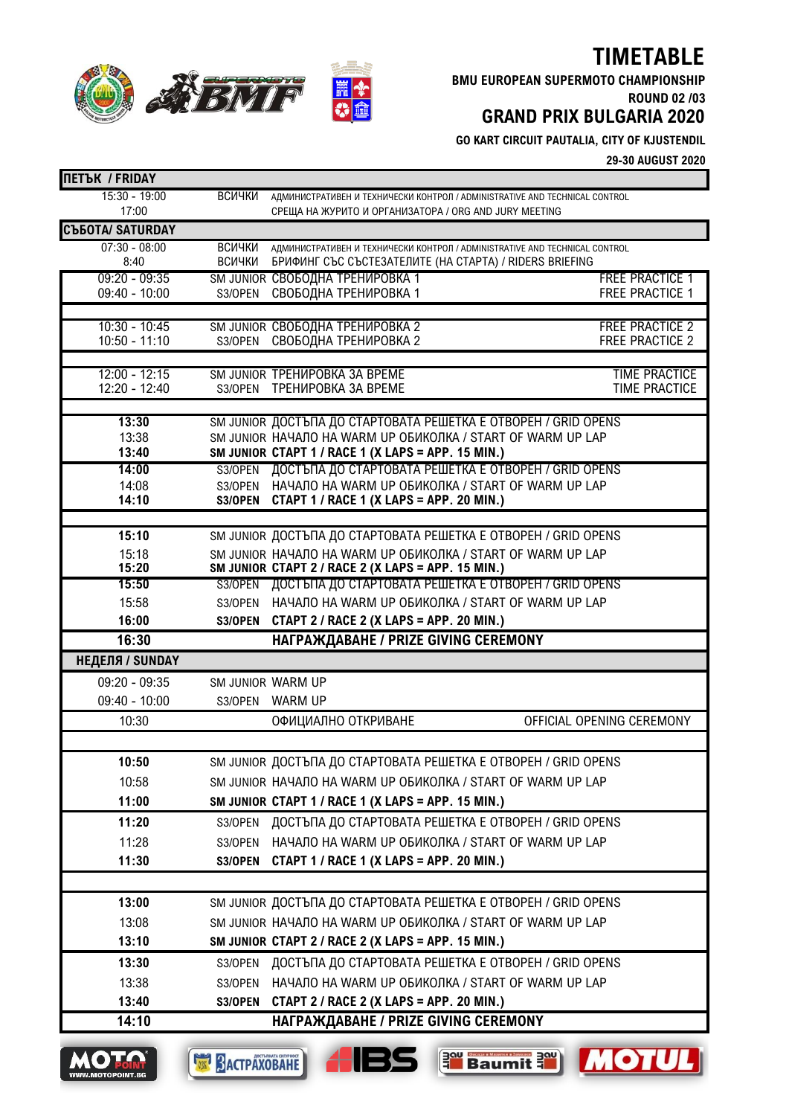# **TIMETABLE**

**ABMIT** 

**BMU EUROPEAN SUPERMOTO CHAMPIONSHIP**

**ROUND 02 /03 GRAND PRIX BULGARIA 2020**

**GO KART CIRCUIT PAUTALIA, CITY OF KJUSTENDIL**

**29-30 AUGUST 2020**

| <b>ПЕТЪК / FRIDAY</b>    |                   |                                                                                                                                      |                           |
|--------------------------|-------------------|--------------------------------------------------------------------------------------------------------------------------------------|---------------------------|
| $15:30 - 19:00$<br>17:00 | ВСИЧКИ            | AДМИНИСТРАТИВЕН И ТЕХНИЧЕСКИ КОНТРОЛ / ADMINISTRATIVE AND TECHNICAL CONTROL<br>СРЕЩА НА ЖУРИТО И ОРГАНИЗАТОРА / ORG AND JURY MEETING |                           |
| <b>C</b> bbOTA/SATURDAY  |                   |                                                                                                                                      |                           |
| $07:30 - 08:00$          | <b>ВСИЧКИ</b>     | AДМИНИСТРАТИВЕН И ТЕХНИЧЕСКИ КОНТРОЛ / ADMINISTRATIVE AND TECHNICAL CONTROL                                                          |                           |
| 8:40                     | ВСИЧКИ            | БРИФИНГ СЪС СЪСТЕЗАТЕЛИТЕ (НА СТАРТА) / RIDERS BRIEFING                                                                              |                           |
| $09:20 - 09:35$          |                   | SM JUNIOR CBOБОДНА ТРЕНИРОВКА 1                                                                                                      | <b>FREE PRACTICE 1</b>    |
| 09:40 - 10:00            | S3/OPEN           | СВОБОДНА ТРЕНИРОВКА 1                                                                                                                | <b>FREE PRACTICE 1</b>    |
| $10:30 - 10:45$          |                   | SM JUNIOR СВОБОДНА ТРЕНИРОВКА 2                                                                                                      | <b>FREE PRACTICE 2</b>    |
| $10:50 - 11:10$          |                   | S3/OPEN CBOБОДНА ТРЕНИРОВКА 2                                                                                                        | <b>FREE PRACTICE 2</b>    |
| $12:00 - 12:15$          |                   | SM JUNIOR TPEHUPOBKA 3A BPEME                                                                                                        | <b>TIME PRACTICE</b>      |
| 12:20 - 12:40            | S3/OPEN           | ТРЕНИРОВКА ЗА ВРЕМЕ                                                                                                                  | <b>TIME PRACTICE</b>      |
| 13:30                    |                   | SM JUNIOR ДОСТЪПА ДО СТАРТОВАТА РЕШЕТКА Е ОТВОРЕН / GRID OPENS                                                                       |                           |
| 13:38                    |                   | SM JUNIOR HAYAJIO HA WARM UP OБИКОЛКА / START OF WARM UP LAP                                                                         |                           |
| 13:40                    |                   | SM JUNIOR CTAPT 1 / RACE 1 (X LAPS = APP. 15 MIN.)                                                                                   |                           |
| 14:00                    |                   | S3/OPEN ДОСТЪПА ДО СТАРТОВАТА РЕШЕТКА Е ОТВОРЕН / GRID OPENS                                                                         |                           |
| 14:08<br>14:10           |                   | S3/OPEN HAYAЛO HA WARM UP ОБИКОЛКА / START OF WARM UP LAP                                                                            |                           |
|                          | S3/OPEN           | CTAPT 1 / RACE 1 (X LAPS = APP. 20 MIN.)                                                                                             |                           |
| 15:10                    |                   | SM JUNIOR ДОСТЪПА ДО СТАРТОВАТА РЕШЕТКА Е ОТВОРЕН / GRID OPENS                                                                       |                           |
| 15:18                    |                   | SM JUNIOR HAYAJIO HA WARM UP OБИКОЛКА / START OF WARM UP LAP                                                                         |                           |
| 15:20                    |                   | SM JUNIOR CTAPT 2 / RACE 2 (X LAPS = APP. 15 MIN.)                                                                                   |                           |
| 15:50                    |                   | S3/OPEN ДОСТЪПА ДО СТАРТОВАТА РЕШЕТКА Е ОТВОРЕН / GRID OPENS                                                                         |                           |
| 15:58                    | S3/OPEN           | НАЧАЛО НА WARM UP ОБИКОЛКА / START OF WARM UP LAP                                                                                    |                           |
| 16:00                    | S3/OPEN           | CTAPT 2 / RACE 2 (X LAPS = APP. 20 MIN.)                                                                                             |                           |
| 16:30                    |                   | НАГРАЖДАВАНЕ / PRIZE GIVING CEREMONY                                                                                                 |                           |
|                          |                   |                                                                                                                                      |                           |
|                          |                   |                                                                                                                                      |                           |
| $09:20 - 09:35$          | SM JUNIOR WARM UP |                                                                                                                                      |                           |
| 09:40 - 10:00            |                   | S3/OPEN WARM UP                                                                                                                      |                           |
| 10:30                    |                   | ОФИЦИАЛНО ОТКРИВАНЕ                                                                                                                  |                           |
|                          |                   |                                                                                                                                      |                           |
| 10:50                    |                   | SM JUNIOR ДОСТЪПА ДО СТАРТОВАТА РЕШЕТКА Е ОТВОРЕН / GRID OPENS                                                                       |                           |
| 10:58                    |                   | SM JUNIOR HAYAJIO HA WARM UP OBИКОЛКА / START OF WARM UP LAP                                                                         |                           |
| 11:00                    |                   | SM JUNIOR CTAPT 1 / RACE 1 (X LAPS = APP. 15 MIN.)                                                                                   |                           |
| 11:20                    |                   | S3/OPEN ДОСТЪПА ДО СТАРТОВАТА РЕШЕТКА Е ОТВОРЕН / GRID OPENS                                                                         |                           |
| 11:28                    | S3/OPEN           | НАЧАЛО НА WARM UP ОБИКОЛКА / START OF WARM UP LAP                                                                                    |                           |
| 11:30                    | S3/OPEN           | CTAPT 1 / RACE 1 (X LAPS = APP. 20 MIN.)                                                                                             |                           |
|                          |                   |                                                                                                                                      |                           |
| 13:00                    |                   | SM JUNIOR ДОСТЪПА ДО СТАРТОВАТА РЕШЕТКА Е ОТВОРЕН / GRID OPENS                                                                       |                           |
| 13:08                    |                   | SM JUNIOR HAYAJIO HA WARM UP OБИКОЛКА / START OF WARM UP LAP                                                                         |                           |
| 13:10                    |                   | SM JUNIOR CTAPT 2 / RACE 2 (X LAPS = APP. 15 MIN.)                                                                                   |                           |
| 13:30                    | S3/OPEN           | ДОСТЪПА ДО СТАРТОВАТА РЕШЕТКА Е ОТВОРЕН / GRID OPENS                                                                                 |                           |
| 13:38                    | S3/OPEN           | НАЧАЛО НА WARM UP ОБИКОЛКА / START OF WARM UP LAP                                                                                    |                           |
| НЕДЕЛЯ / SUNDAY<br>13:40 | S3/OPEN           | CTAPT 2 / RACE 2 (X LAPS = APP. 20 MIN.)                                                                                             | OFFICIAL OPENING CEREMONY |







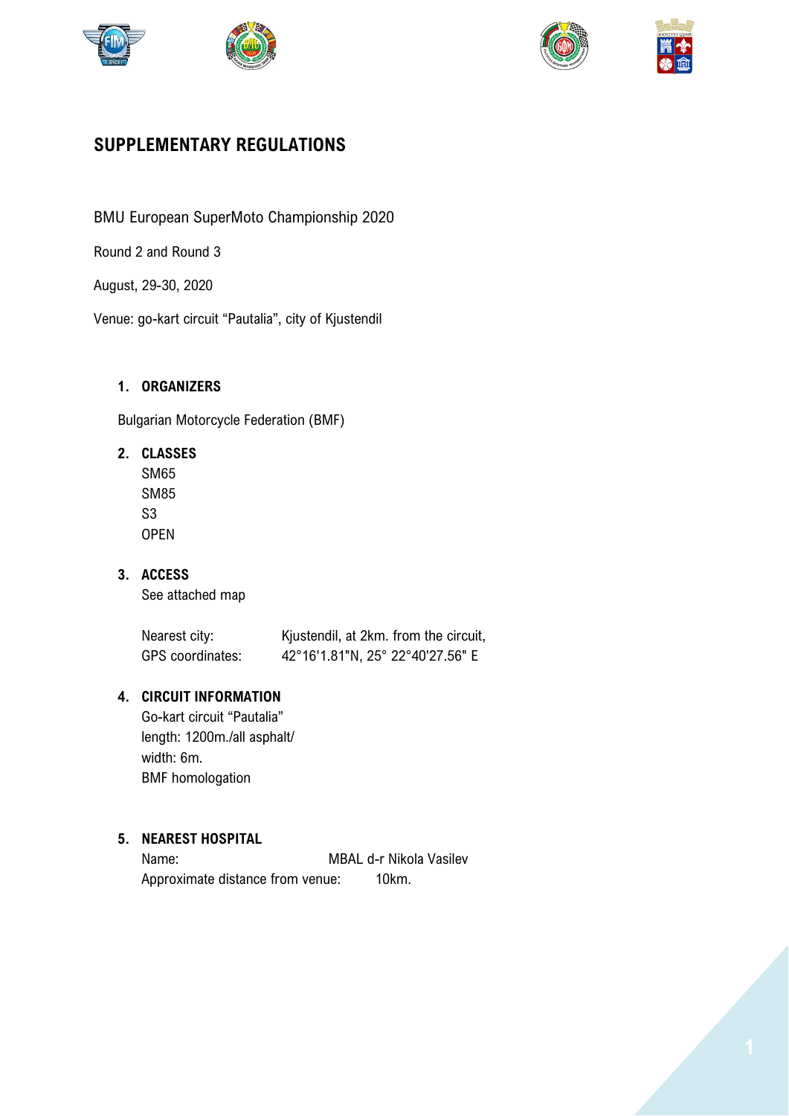





# **SUPPLEMENTARY REGULATIONS**

BMU European SuperMoto Championship 2020

Round 2 and Round 3

August, 29-30, 2020

Venue: go-kart circuit "Pautalia", city of Kjustendil

# **1. ORGANIZERS**

Bulgarian Motorcycle Federation (BMF)

**2. CLASSES**

SM65 SM85 S3 OPEN

**3. ACCESS** See attached map

| Nearest city:    | Kjustendil, at 2km. from the circuit, |
|------------------|---------------------------------------|
| GPS coordinates: | 42°16'1.81"N, 25° 22°40'27.56" E      |

## **4. CIRCUIT INFORMATION**

Go-kart circuit "Pautalia" length: 1200m./all asphalt/ width: 6m. BMF homologation

# **5. NEAREST HOSPITAL**

Name: MBAL d-r Nikola Vasilev Approximate distance from venue: 10km.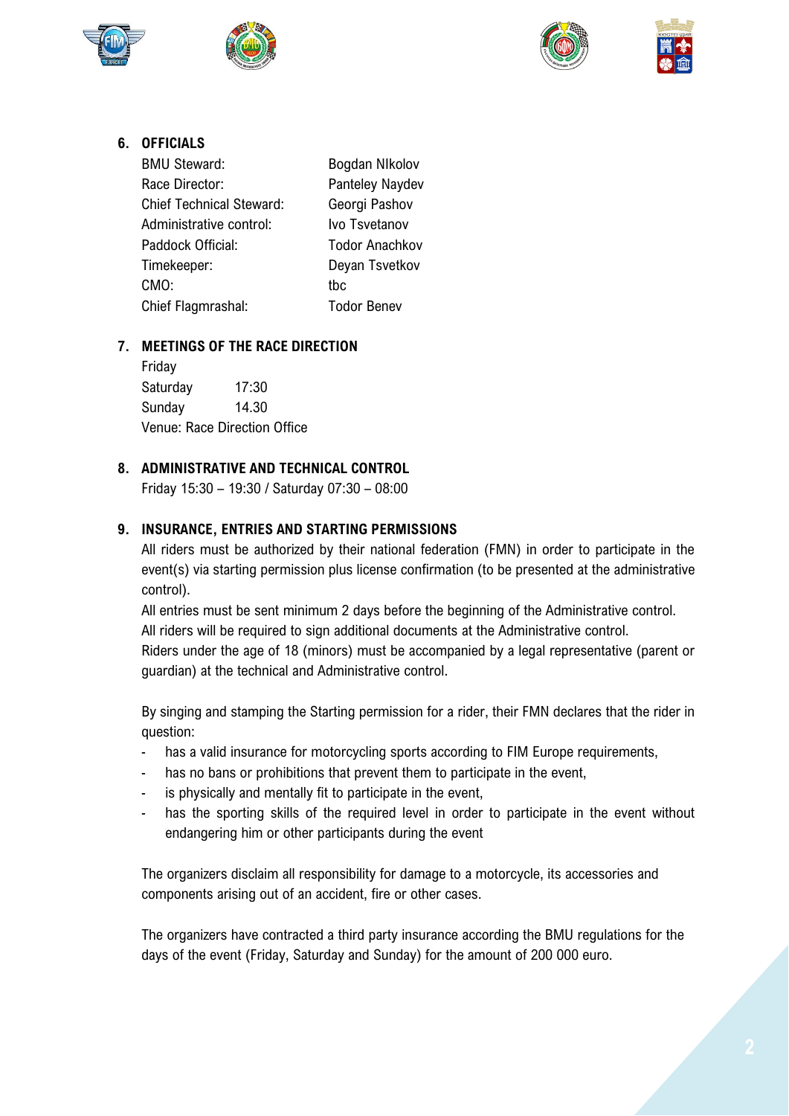







# **6. OFFICIALS**

| <b>BMU Steward:</b>             | Bogdan NIkolov        |
|---------------------------------|-----------------------|
| Race Director:                  | Panteley Naydev       |
| <b>Chief Technical Steward:</b> | Georgi Pashov         |
| Administrative control:         | Ivo Tsvetanov         |
| Paddock Official:               | <b>Todor Anachkov</b> |
| Timekeeper:                     | Deyan Tsvetkov        |
| CMO:                            | thc                   |
| Chief Flagmrashal:              | <b>Todor Benev</b>    |

## **7. MEETINGS OF THE RACE DIRECTION**

Friday Saturday 17:30 Sunday 14.30 Venue: Race Direction Office

## **8. ADMINISTRATIVE AND TECHNICAL CONTROL**

Friday 15:30 – 19:30 / Saturday 07:30 – 08:00

## **9. INSURANCE, ENTRIES AND STARTING PERMISSIONS**

All riders must be authorized by their national federation (FMN) in order to participate in the event(s) via starting permission plus license confirmation (to be presented at the administrative control).

All entries must be sent minimum 2 days before the beginning of the Administrative control. All riders will be required to sign additional documents at the Administrative control. Riders under the age of 18 (minors) must be accompanied by a legal representative (parent or guardian) at the technical and Administrative control.

By singing and stamping the Starting permission for a rider, their FMN declares that the rider in question:

- has a valid insurance for motorcycling sports according to FIM Europe requirements,
- has no bans or prohibitions that prevent them to participate in the event,
- is physically and mentally fit to participate in the event,
- has the sporting skills of the required level in order to participate in the event without endangering him or other participants during the event

The organizers disclaim all responsibility for damage to a motorcycle, its accessories and components arising out of an accident, fire or other cases.

The organizers have contracted a third party insurance according the BMU regulations for the days of the event (Friday, Saturday and Sunday) for the amount of 200 000 euro.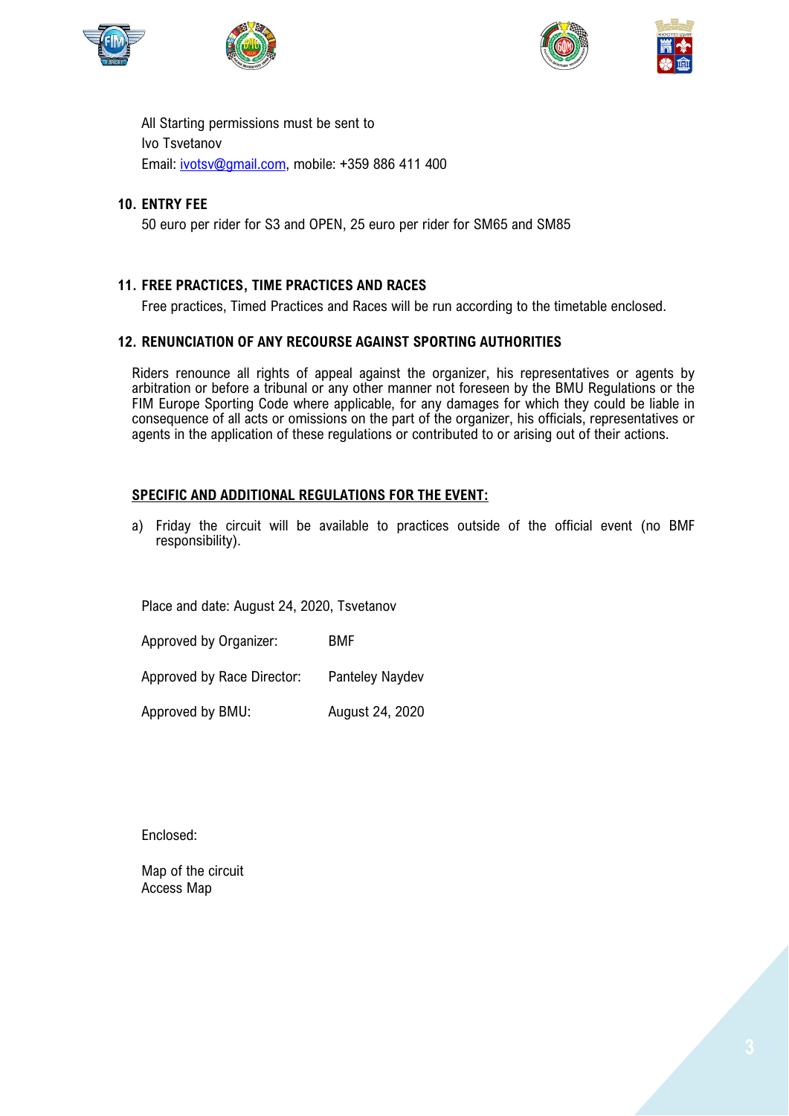





All Starting permissions must be sent to Ivo Tsvetanov Email: [ivotsv@gmail.com,](mailto:ivotsv@gmail.com) mobile: +359 886 411 400

#### **10. ENTRY FEE**

50 euro per rider for S3 and OPEN, 25 euro per rider for SM65 and SM85

#### **11. FREE PRACTICES, TIME PRACTICES AND RACES**

Free practices, Timed Practices and Races will be run according to the timetable enclosed.

#### **12. RENUNCIATION OF ANY RECOURSE AGAINST SPORTING AUTHORITIES**

Riders renounce all rights of appeal against the organizer, his representatives or agents by arbitration or before a tribunal or any other manner not foreseen by the BMU Regulations or the FIM Europe Sporting Code where applicable, for any damages for which they could be liable in consequence of all acts or omissions on the part of the organizer, his officials, representatives or agents in the application of these regulations or contributed to or arising out of their actions.

#### **SPECIFIC AND ADDITIONAL REGULATIONS FOR THE EVENT:**

a) Friday the circuit will be available to practices outside of the official event (no BMF responsibility).

Place and date: August 24, 2020, Tsvetanov

Approved by Organizer: BMF

Approved by Race Director: Panteley Naydev

Approved by BMU: August 24, 2020

Enclosed:

Map of the circuit Access Map